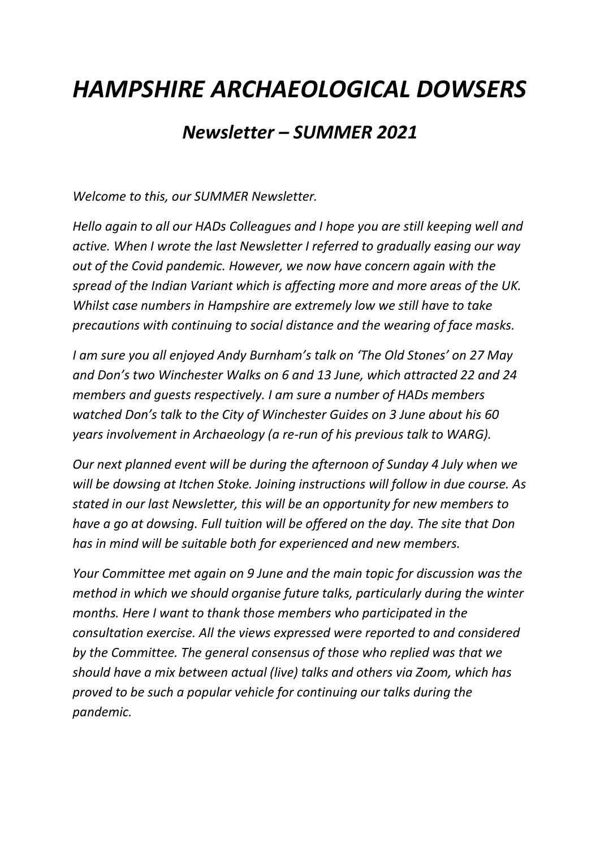## *HAMPSHIRE ARCHAEOLOGICAL DOWSERS*

## *Newsletter – SUMMER 2021*

*Welcome to this, our SUMMER Newsletter.*

*Hello again to all our HADs Colleagues and I hope you are still keeping well and active. When I wrote the last Newsletter I referred to gradually easing our way out of the Covid pandemic. However, we now have concern again with the spread of the Indian Variant which is affecting more and more areas of the UK. Whilst case numbers in Hampshire are extremely low we still have to take precautions with continuing to social distance and the wearing of face masks.*

*I am sure you all enjoyed Andy Burnham's talk on 'The Old Stones' on 27 May and Don's two Winchester Walks on 6 and 13 June, which attracted 22 and 24 members and guests respectively. I am sure a number of HADs members watched Don's talk to the City of Winchester Guides on 3 June about his 60 years involvement in Archaeology (a re-run of his previous talk to WARG).*

*Our next planned event will be during the afternoon of Sunday 4 July when we will be dowsing at Itchen Stoke. Joining instructions will follow in due course. As stated in our last Newsletter, this will be an opportunity for new members to have a go at dowsing. Full tuition will be offered on the day. The site that Don has in mind will be suitable both for experienced and new members.* 

*Your Committee met again on 9 June and the main topic for discussion was the method in which we should organise future talks, particularly during the winter months. Here I want to thank those members who participated in the consultation exercise. All the views expressed were reported to and considered by the Committee. The general consensus of those who replied was that we should have a mix between actual (live) talks and others via Zoom, which has proved to be such a popular vehicle for continuing our talks during the pandemic.*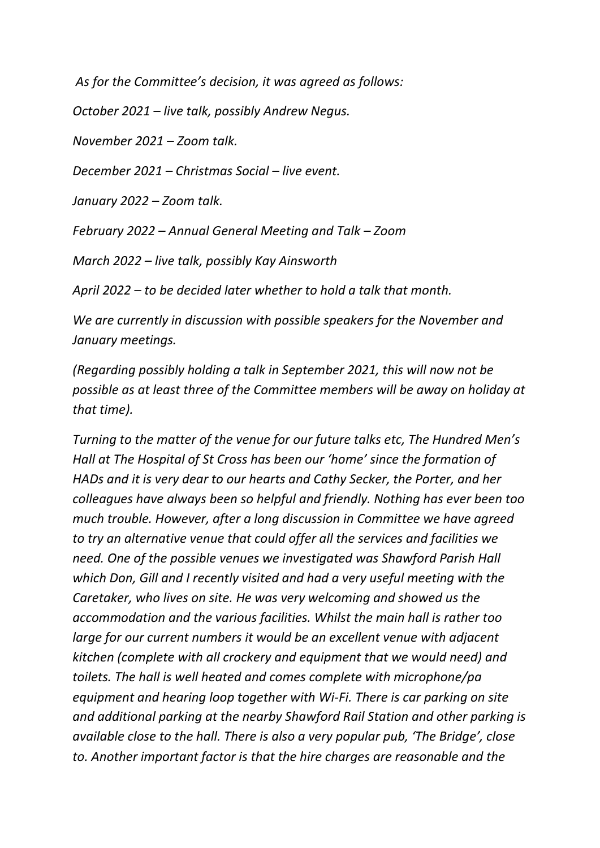*As for the Committee's decision, it was agreed as follows:*

*October 2021 – live talk, possibly Andrew Negus.*

*November 2021 – Zoom talk.*

*December 2021 – Christmas Social – live event.*

*January 2022 – Zoom talk.*

*February 2022 – Annual General Meeting and Talk – Zoom*

*March 2022 – live talk, possibly Kay Ainsworth*

*April 2022 – to be decided later whether to hold a talk that month.*

*We are currently in discussion with possible speakers for the November and January meetings.*

*(Regarding possibly holding a talk in September 2021, this will now not be possible as at least three of the Committee members will be away on holiday at that time).*

*Turning to the matter of the venue for our future talks etc, The Hundred Men's Hall at The Hospital of St Cross has been our 'home' since the formation of HADs and it is very dear to our hearts and Cathy Secker, the Porter, and her colleagues have always been so helpful and friendly. Nothing has ever been too much trouble. However, after a long discussion in Committee we have agreed to try an alternative venue that could offer all the services and facilities we need. One of the possible venues we investigated was Shawford Parish Hall which Don, Gill and I recently visited and had a very useful meeting with the Caretaker, who lives on site. He was very welcoming and showed us the accommodation and the various facilities. Whilst the main hall is rather too large for our current numbers it would be an excellent venue with adjacent kitchen (complete with all crockery and equipment that we would need) and toilets. The hall is well heated and comes complete with microphone/pa equipment and hearing loop together with Wi-Fi. There is car parking on site and additional parking at the nearby Shawford Rail Station and other parking is available close to the hall. There is also a very popular pub, 'The Bridge', close to. Another important factor is that the hire charges are reasonable and the*